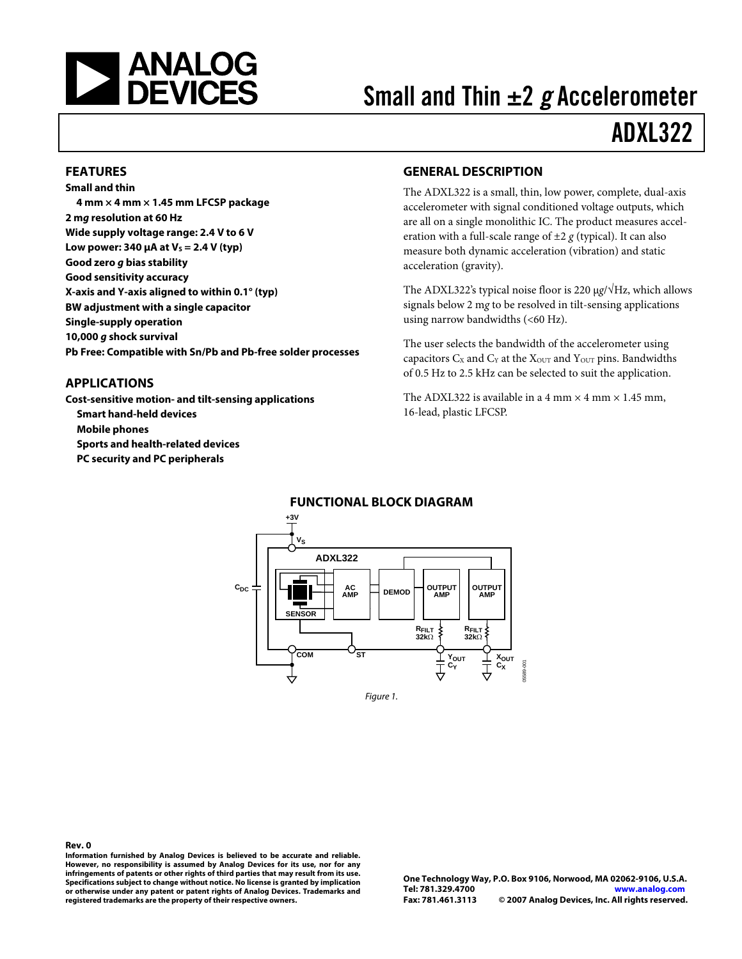

# Small and Thin  $\pm 2$  g Accelerometer

## ADXL322

#### **FEATURES**

**Small and thin 4 mm × 4 mm × 1.45 mm LFCSP package 2 mg resolution at 60 Hz Wide supply voltage range: 2.4 V to 6 V Low power: 340 μA at**  $V_s = 2.4$  **V (typ) Good zero g bias stability Good sensitivity accuracy X-axis and Y-axis aligned to within 0.1° (typ) BW adjustment with a single capacitor Single-supply operation 10,000 g shock survival Pb Free: Compatible with Sn/Pb and Pb-free solder processes** 

#### **APPLICATIONS**

**Cost-sensitive motion- and tilt-sensing applications Smart hand-held devices Mobile phones Sports and health-related devices PC security and PC peripherals**

#### **GENERAL DESCRIPTION**

The ADXL322 is a small, thin, low power, complete, dual-axis accelerometer with signal conditioned voltage outputs, which are all on a single monolithic IC. The product measures acceleration with a full-scale range of  $\pm 2$  *g* (typical). It can also measure both dynamic acceleration (vibration) and static acceleration (gravity).

The ADXL322's typical noise floor is 220 μ*g*/√Hz, which allows signals below 2 m*g* to be resolved in tilt-sensing applications using narrow bandwidths  $( $60$  Hz).$ 

The user selects the bandwidth of the accelerometer using capacitors  $C_X$  and  $C_Y$  at the  $X_{\text{OUT}}$  and  $Y_{\text{OUT}}$  pins. Bandwidths of 0.5 Hz to 2.5 kHz can be selected to suit the application.

The ADXL322 is available in a 4 mm  $\times$  4 mm  $\times$  1.45 mm, 16-lead, plastic LFCSP.



#### **FUNCTIONAL BLOCK DIAGRAM**

#### **Rev. 0**

**Information furnished by Analog Devices is believed to be accurate and reliable. However, no responsibility is assumed by Analog Devices for its use, nor for any infringements of patents or other rights of third parties that may result from its use. Specifications subject to change without notice. No license is granted by implication or otherwise under any patent or patent rights of Analog Devices. Trademarks and registered trademarks are the property of their respective owners.**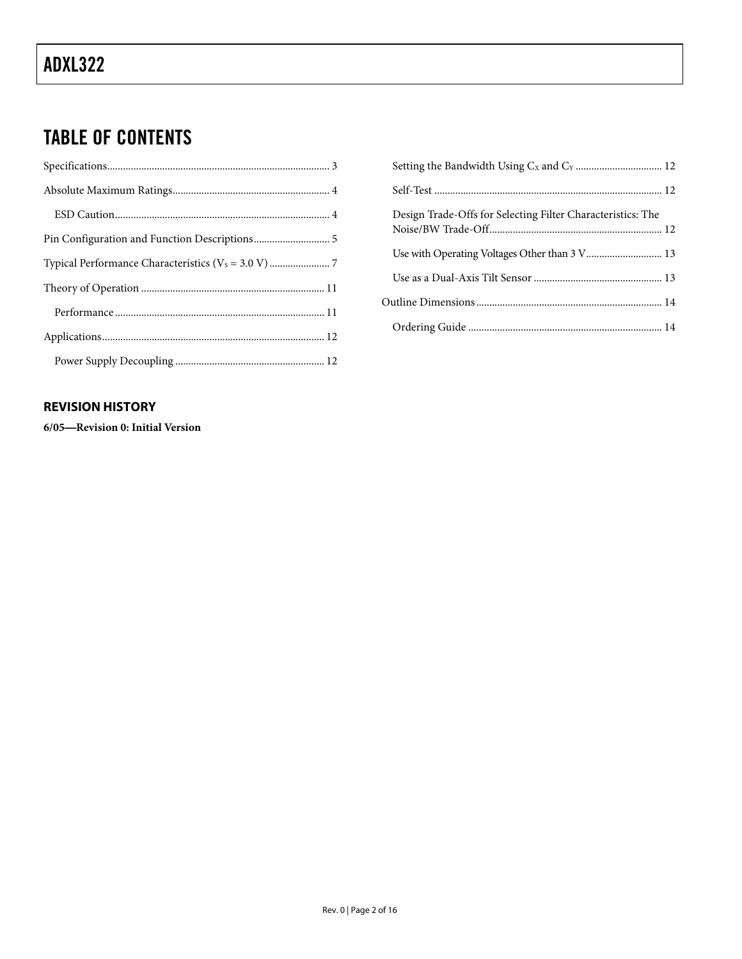### TABLE OF CONTENTS

### [Setting the Bandwidth Using CX and CY](#page-11-0) [................................. 12](#page-11-0) Self-Test [....................................................................................... 12](#page-11-0) [Design Trade-Offs for Selecting Filter Characteristics: The](#page-11-0)  [Noise/BW Trade-Off.................................................................. 12](#page-11-0) [Use with Operating Voltages Other than 3 V............................. 13](#page-12-0) [Use as a Dual-Axis Tilt Sensor................................................. 13](#page-12-0) [Outline Dimensions....................................................................... 14](#page-13-0) Ordering Guide [.......................................................................... 14](#page-13-0)

### **REVISION HISTORY**

**6/05**—**Revision 0: Initial Version**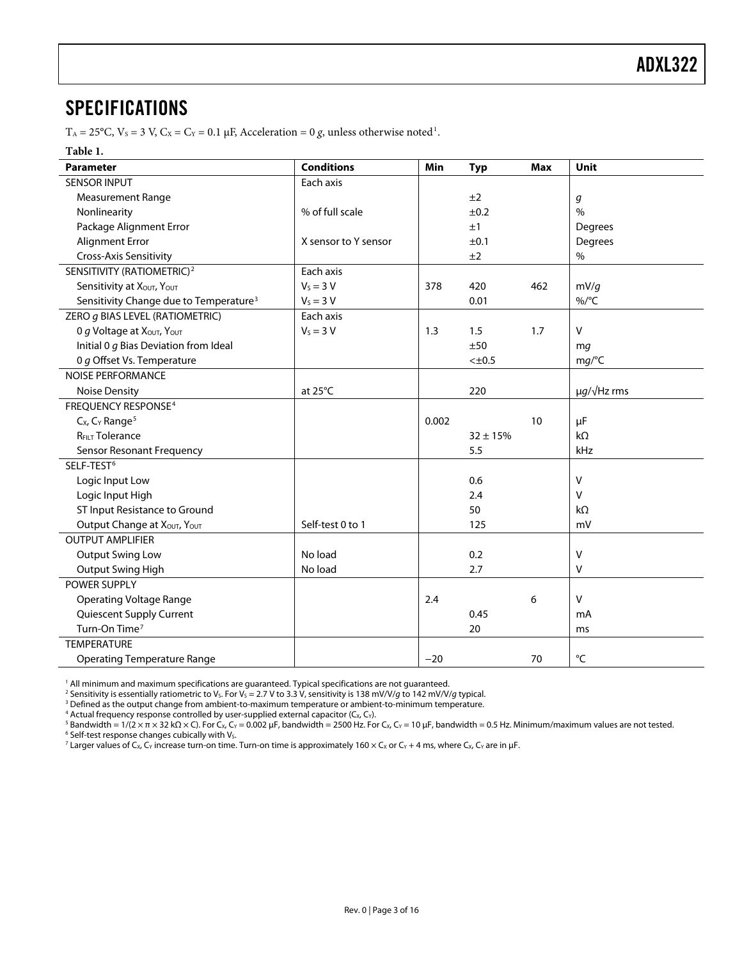### <span id="page-2-0"></span>SPECIFICATIONS

 $T_A = 25^{\circ}$ C,  $V_s = 3$  V,  $C_x = C_y = 0.1$  $C_x = C_y = 0.1$   $\mu$ F, Acceleration = 0 *g*, unless otherwise noted<sup>1</sup>.

#### **Table 1.**

| Parameter                                          | <b>Conditions</b>    | Min   | <b>Typ</b>   | <b>Max</b> | <b>Unit</b>           |
|----------------------------------------------------|----------------------|-------|--------------|------------|-----------------------|
| <b>SENSOR INPUT</b>                                | Each axis            |       |              |            |                       |
| <b>Measurement Range</b>                           |                      |       | ±2           |            | g                     |
| Nonlinearity                                       | % of full scale      |       | ±0.2         |            | $\frac{0}{0}$         |
| Package Alignment Error                            |                      |       | ±1           |            | Degrees               |
| <b>Alignment Error</b>                             | X sensor to Y sensor |       | ±0.1         |            | Degrees               |
| Cross-Axis Sensitivity                             |                      |       | ±2           |            | $\%$                  |
| SENSITIVITY (RATIOMETRIC) <sup>2</sup>             | Each axis            |       |              |            |                       |
| Sensitivity at XOUT, YOUT                          | $V_S = 3 V$          | 378   | 420          | 462        | mV/q                  |
| Sensitivity Change due to Temperature <sup>3</sup> | $V_s = 3 V$          |       | 0.01         |            | $\%$ /°C              |
| ZERO g BIAS LEVEL (RATIOMETRIC)                    | Each axis            |       |              |            |                       |
| O g Voltage at XOUT, YOUT                          | $V_S = 3 V$          | 1.3   | 1.5          | 1.7        | $\mathsf{V}$          |
| Initial 0 g Bias Deviation from Ideal              |                      |       | ±50          |            | mq                    |
| 0 g Offset Vs. Temperature                         |                      |       | $<\pm 0.5$   |            | mg/C                  |
| <b>NOISE PERFORMANCE</b>                           |                      |       |              |            |                       |
| <b>Noise Density</b>                               | at 25°C              |       | 220          |            | $\mu g/\sqrt{Hz}$ rms |
| <b>FREQUENCY RESPONSE<sup>4</sup></b>              |                      |       |              |            |                       |
| $Cx$ , $Cx$ Range <sup>5</sup>                     |                      | 0.002 |              | 10         | μF                    |
| <b>RFILT Tolerance</b>                             |                      |       | $32 \pm 15%$ |            | $k\Omega$             |
| Sensor Resonant Frequency                          |                      |       | 5.5          |            | kHz                   |
| SELF-TEST <sup>6</sup>                             |                      |       |              |            |                       |
| Logic Input Low                                    |                      |       | 0.6          |            | $\mathsf{V}$          |
| Logic Input High                                   |                      |       | 2.4          |            | $\vee$                |
| ST Input Resistance to Ground                      |                      |       | 50           |            | $k\Omega$             |
| Output Change at XOUT, YOUT                        | Self-test 0 to 1     |       | 125          |            | mV                    |
| <b>OUTPUT AMPLIFIER</b>                            |                      |       |              |            |                       |
| <b>Output Swing Low</b>                            | No load              |       | 0.2          |            | $\vee$                |
| Output Swing High                                  | No load              |       | 2.7          |            | $\vee$                |
| <b>POWER SUPPLY</b>                                |                      |       |              |            |                       |
| <b>Operating Voltage Range</b>                     |                      | 2.4   |              | 6          | $\vee$                |
| Quiescent Supply Current                           |                      |       | 0.45         |            | mA                    |
| Turn-On Time <sup>7</sup>                          |                      |       | 20           |            | ms                    |
| <b>TEMPERATURE</b>                                 |                      |       |              |            |                       |
| <b>Operating Temperature Range</b>                 |                      | $-20$ |              | 70         | °C                    |

<sup>1</sup> All minimum and maximum specifications are guaranteed. Typical specifications are not guaranteed.<br><sup>2</sup> Sensitivity is essentially ratiometric to Vc For Vc = 2.7 V to 3.3 V, sensitivity is 138 mV/V/a to 142 mV/V/

<sup>2</sup> Sensitivity is essentially ratiometric to V<sub>S</sub>. For V<sub>S</sub> = 2.7 V to 3.3 V, sensitivity is 138 mV/V/g to 142 mV/V/g typical.

<sup>3</sup> Defined as the output change from ambient-to-maximum temperature or ambient-to-minimum temperature.

4 Actual frequency response controlled by user-supplied external capacitor (C<sub>X</sub>, C<sub>Y</sub>).<br><sup>5</sup> Bandwidth = 1/(2 × π × 32 kO × C). For C× Cy = 0.002 μE. bandwidth = 2500 Hz. For

<sup>5</sup> Bandwidth = 1/(2 × π × 32 kΩ × C). For C<sub>X</sub>, C<sub>Y</sub> = 0.002 μF, bandwidth = 2500 Hz. For C<sub>X</sub>, C<sub>Y</sub> = 10 μF, bandwidth = 0.5 Hz. Minimum/maximum values are not tested.<br><sup>6</sup> Self-test response changes cubically with V<sub>s</sub>

<sup>6</sup> Self-test response changes cubically with Vs.<br><sup>7</sup> Larger values of C<sub>X</sub>, C<sub>Y</sub> increase turn-on time. Turn-on time is approximately 160 × C<sub>x</sub> or C<sub>Y</sub> + 4 ms, where C<sub>X</sub>, C<sub>Y</sub> are in μF.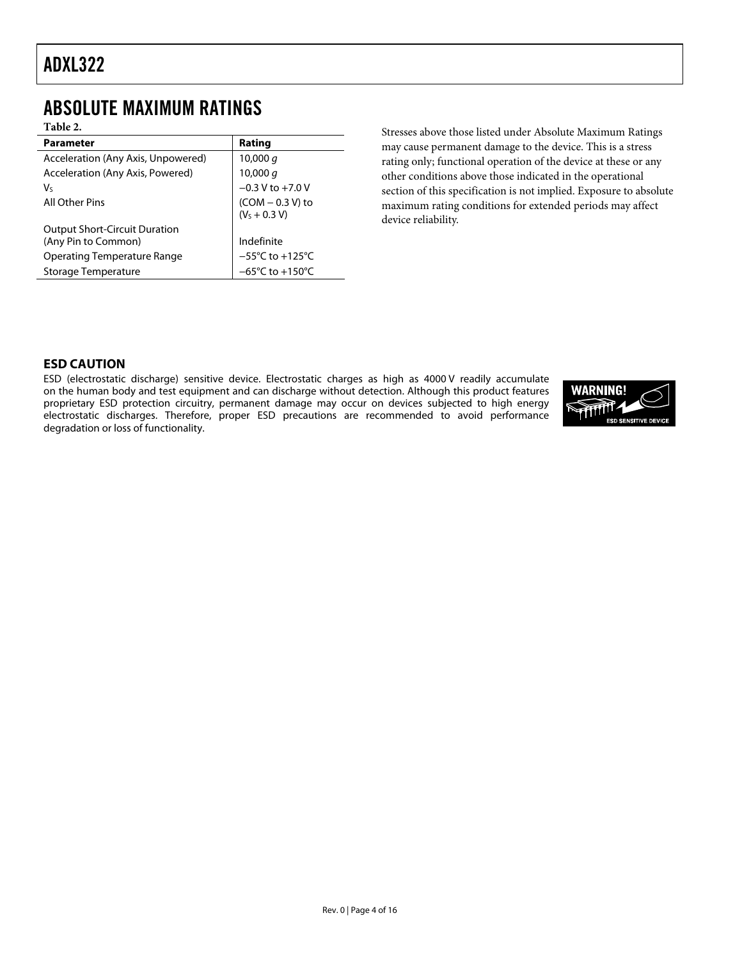### <span id="page-3-0"></span>ABSOLUTE MAXIMUM RATINGS

**Table 2.** 

| <b>Parameter</b>                     | Rating                               |
|--------------------------------------|--------------------------------------|
| Acceleration (Any Axis, Unpowered)   | 10,000 $q$                           |
| Acceleration (Any Axis, Powered)     | 10,000 $q$                           |
| V٢                                   | $-0.3$ V to $+7.0$ V                 |
| All Other Pins                       | $(COM - 0.3 V)$ to                   |
|                                      | $(VS + 0.3 V)$                       |
| <b>Output Short-Circuit Duration</b> |                                      |
| (Any Pin to Common)                  | Indefinite                           |
| <b>Operating Temperature Range</b>   | $-55^{\circ}$ C to +125 $^{\circ}$ C |
| Storage Temperature                  | $-65^{\circ}$ C to $+150^{\circ}$ C  |
|                                      |                                      |

Stresses above those listed under Absolute Maximum Ratings may cause permanent damage to the device. This is a stress rating only; functional operation of the device at these or any other conditions above those indicated in the operational section of this specification is not implied. Exposure to absolute maximum rating conditions for extended periods may affect device reliability.

#### **ESD CAUTION**

ESD (electrostatic discharge) sensitive device. Electrostatic charges as high as 4000 V readily accumulate on the human body and test equipment and can discharge without detection. Although this product features proprietary ESD protection circuitry, permanent damage may occur on devices subjected to high energy electrostatic discharges. Therefore, proper ESD precautions are recommended to avoid performance degradation or loss of functionality.

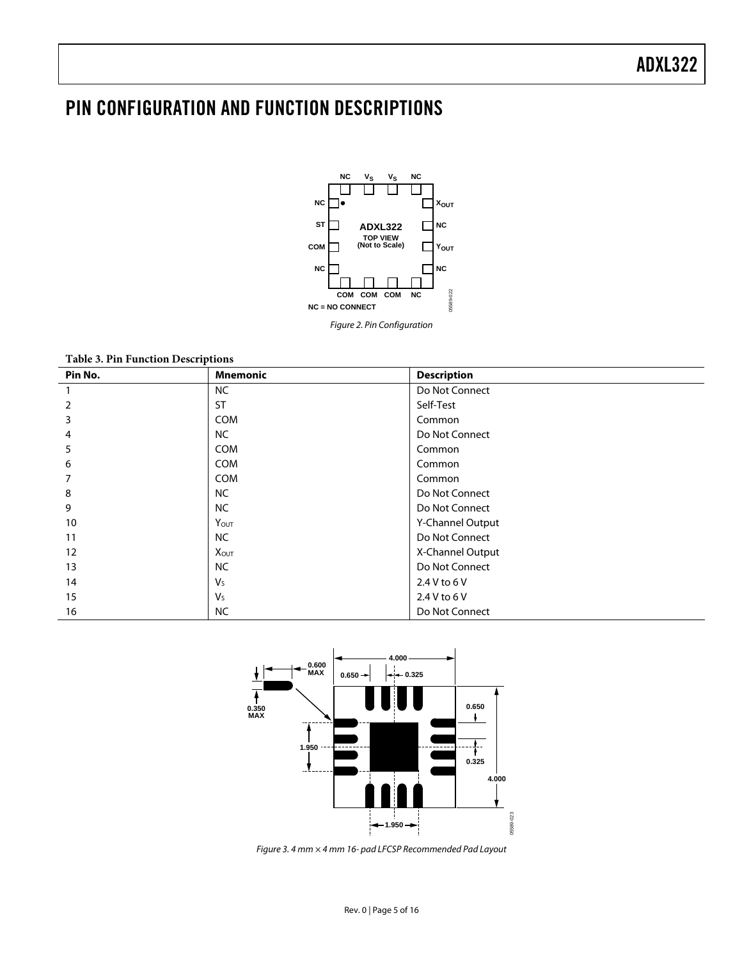### <span id="page-4-0"></span>PIN CONFIGURATION AND FUNCTION DESCRIPTIONS



**Table 3. Pin Function Descriptions** 

| Pin No. | <b>Mnemonic</b> | <b>Description</b> |
|---------|-----------------|--------------------|
|         | <b>NC</b>       | Do Not Connect     |
| 2       | <b>ST</b>       | Self-Test          |
| 3       | COM             | Common             |
| 4       | <b>NC</b>       | Do Not Connect     |
| 5       | <b>COM</b>      | Common             |
| 6       | <b>COM</b>      | Common             |
| 7       | <b>COM</b>      | Common             |
| 8       | <b>NC</b>       | Do Not Connect     |
| 9       | <b>NC</b>       | Do Not Connect     |
| 10      | YOUT            | Y-Channel Output   |
| 11      | <b>NC</b>       | Do Not Connect     |
| 12      | XOUT            | X-Channel Output   |
| 13      | <b>NC</b>       | Do Not Connect     |
| 14      | $V_{S}$         | 2.4 V to 6 V       |
| 15      | $V_{S}$         | 2.4 V to 6 V       |
| 16      | <b>NC</b>       | Do Not Connect     |



Figure 3. 4 mm × 4 mm 16- pad LFCSP Recommended Pad Layout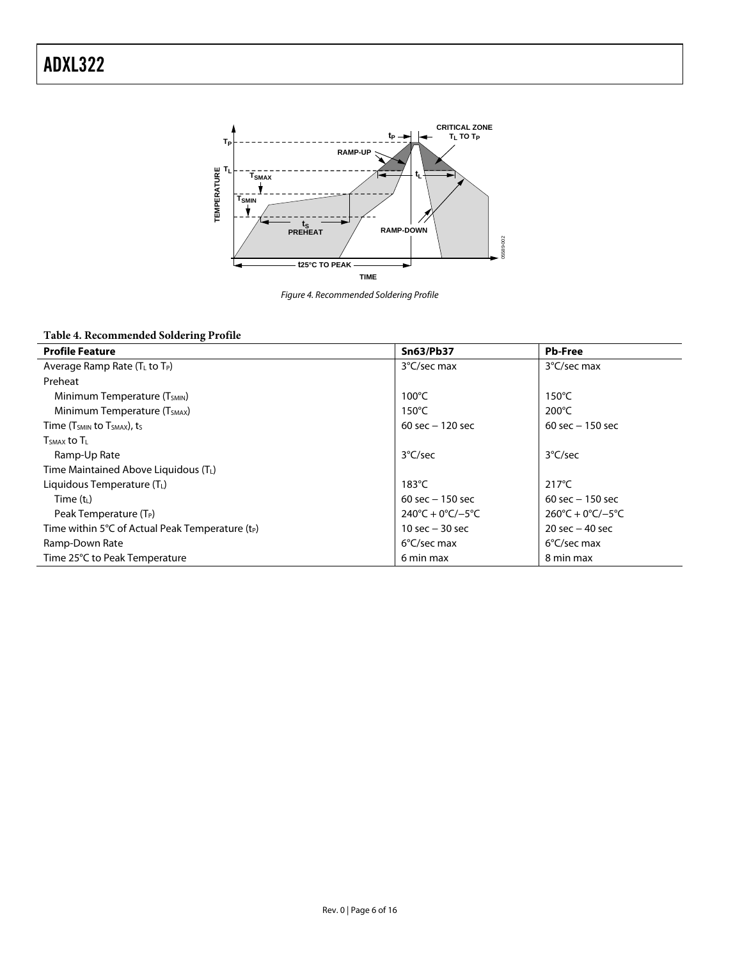

Figure 4. Recommended Soldering Profile

### **Table 4. Recommended Soldering Profile**

| <b>Profile Feature</b>                             | <b>Sn63/Pb37</b>                        | <b>Pb-Free</b>                          |
|----------------------------------------------------|-----------------------------------------|-----------------------------------------|
| Average Ramp Rate $(T_L$ to $T_P)$                 | 3°C/sec max                             | 3°C/sec max                             |
| Preheat                                            |                                         |                                         |
| Minimum Temperature (T <sub>SMIN</sub> )           | $100^{\circ}$ C                         | $150^{\circ}$ C                         |
| Minimum Temperature (T <sub>SMAX</sub> )           | $150^{\circ}$ C                         | $200^{\circ}$ C                         |
| Time (T <sub>SMIN</sub> to T <sub>SMAX</sub> ), ts | 60 sec $-120$ sec                       | 60 sec $-150$ sec                       |
| $TSMAX$ to $TL$                                    |                                         |                                         |
| Ramp-Up Rate                                       | 3°C/sec                                 | $3^{\circ}$ C/sec                       |
| Time Maintained Above Liquidous (TL)               |                                         |                                         |
| Liquidous Temperature $(T_L)$                      | $183^{\circ}$ C                         | $217^{\circ}$ C                         |
| Time $(t_L)$                                       | 60 sec $-150$ sec                       | 60 sec $-150$ sec                       |
| Peak Temperature (T <sub>P</sub> )                 | $240^{\circ}C + 0^{\circ}C/-5^{\circ}C$ | $260^{\circ}C + 0^{\circ}C/-5^{\circ}C$ |
| Time within 5°C of Actual Peak Temperature $(t_P)$ | 10 sec $-$ 30 sec                       | 20 sec $-$ 40 sec                       |
| Ramp-Down Rate                                     | 6°C/sec max                             | $6^{\circ}$ C/sec max                   |
| Time 25°C to Peak Temperature                      | 6 min max                               | 8 min max                               |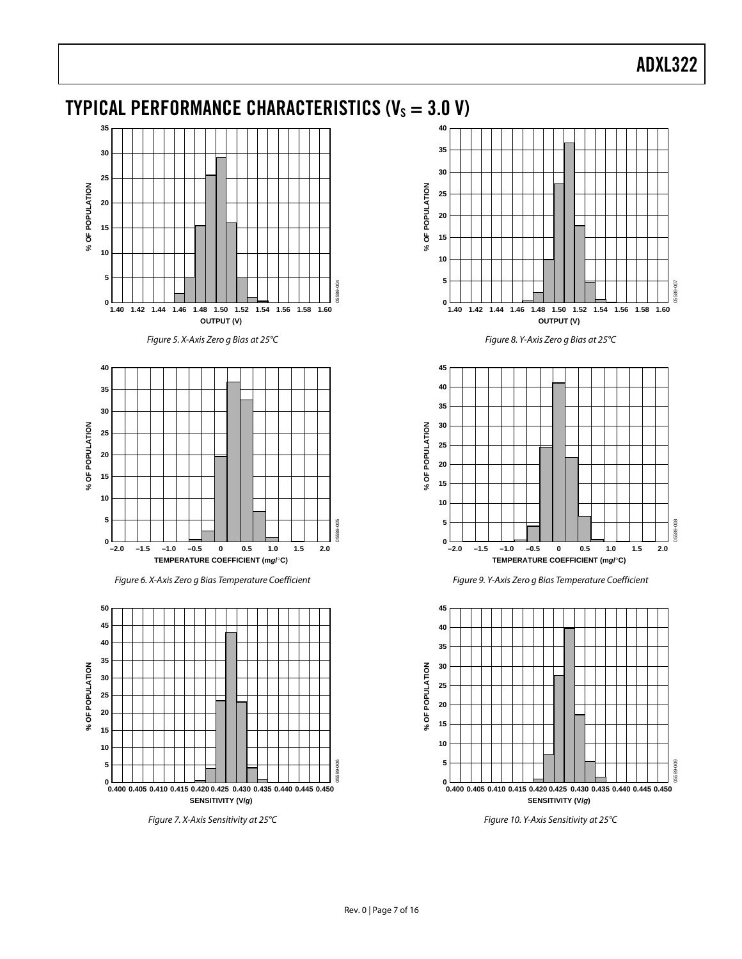### <span id="page-6-0"></span>TYPICAL PERFORMANCE CHARACTERISTICS ( $V_s = 3.0 V$ )



Figure 5. X-Axis Zero g Bias at 25°C







Figure 7. X-Axis Sensitivity at 25°C



Figure 8. Y-Axis Zero g Bias at 25°C







Figure 10. Y-Axis Sensitivity at 25°C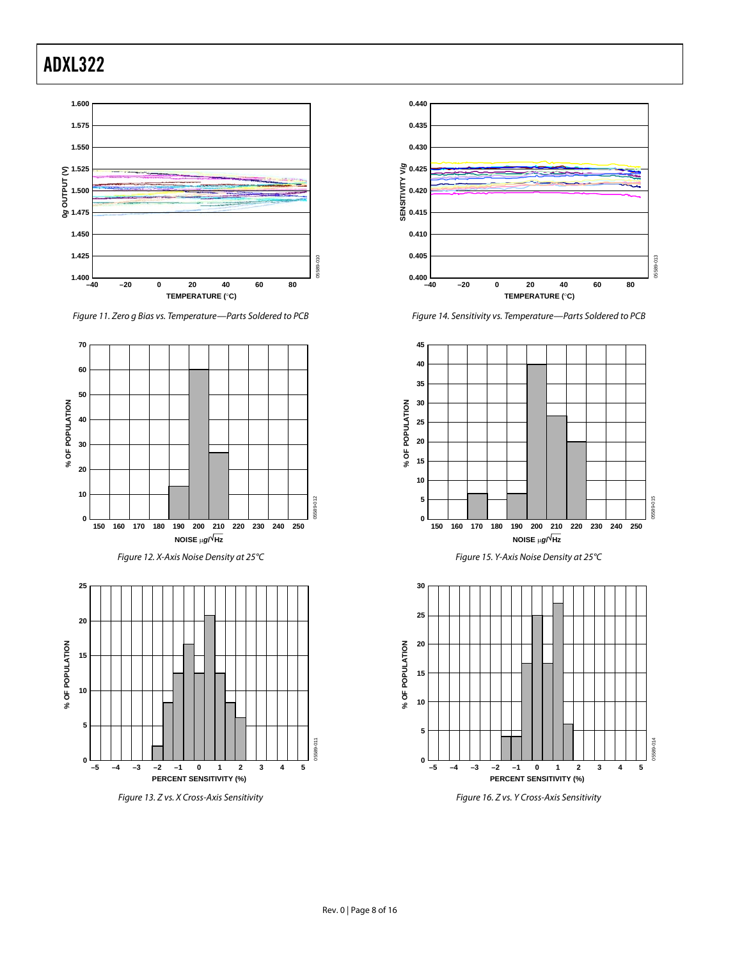

Figure 11. Zero g Bias vs. Temperature—Parts Soldered to PCB

<span id="page-7-0"></span>

Figure 13. Z vs. X Cross-Axis Sensitivity



Figure 14. Sensitivity vs. Temperature—Parts Soldered to PCB





Figure 16. Z vs. Y Cross-Axis Sensitivity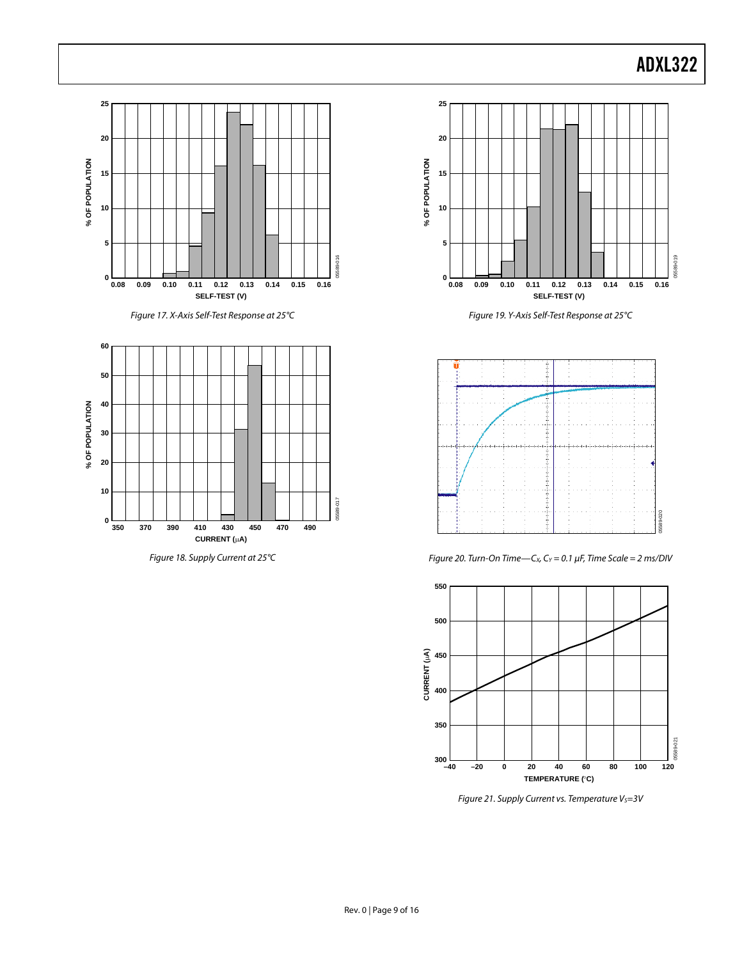05589-019

589-019

05589-020

 $020$ 





Figure 21. Supply Current vs. Temperature  $V_S = 3V$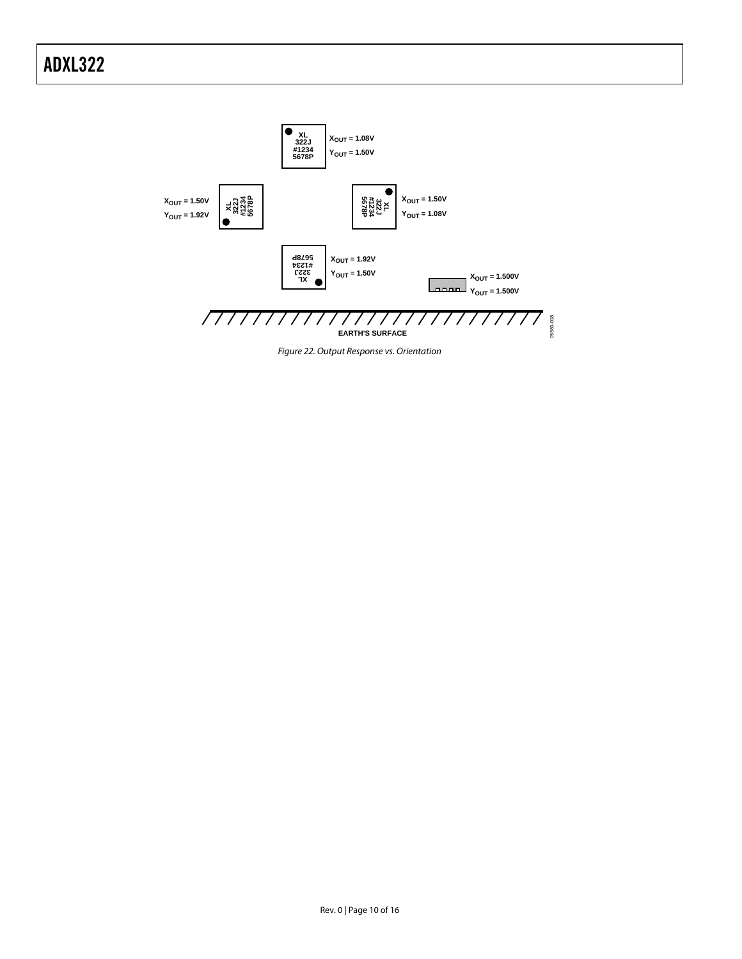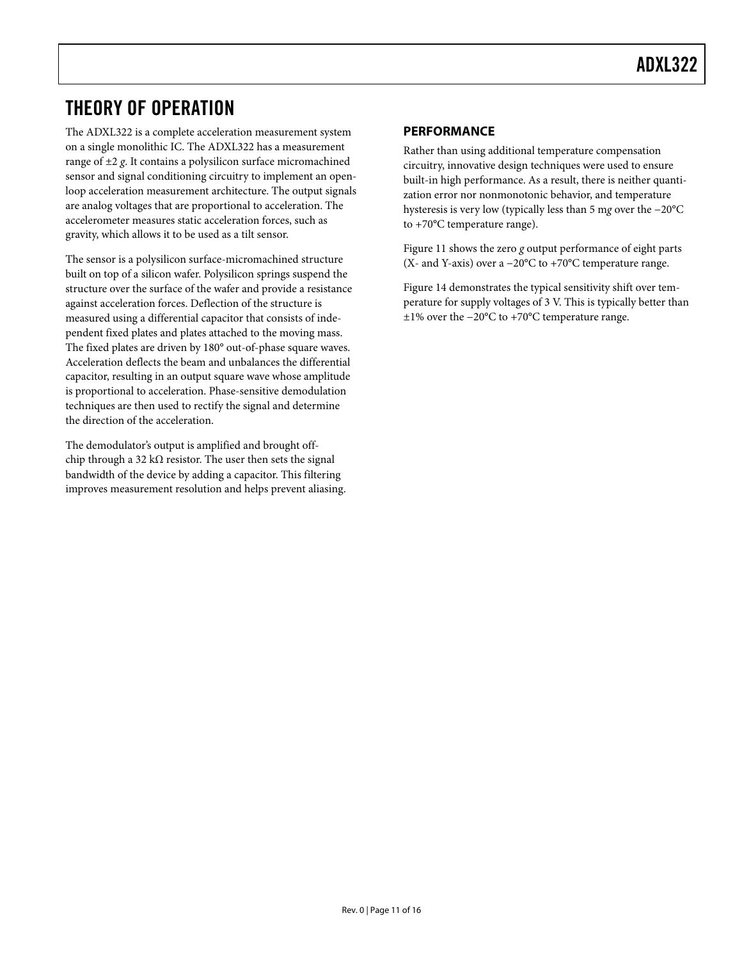### <span id="page-10-0"></span>THEORY OF OPERATION

The ADXL322 is a complete acceleration measurement system on a single monolithic IC. The ADXL322 has a measurement range of ±2 *g*. It contains a polysilicon surface micromachined sensor and signal conditioning circuitry to implement an openloop acceleration measurement architecture. The output signals are analog voltages that are proportional to acceleration. The accelerometer measures static acceleration forces, such as gravity, which allows it to be used as a tilt sensor.

The sensor is a polysilicon surface-micromachined structure built on top of a silicon wafer. Polysilicon springs suspend the structure over the surface of the wafer and provide a resistance against acceleration forces. Deflection of the structure is measured using a differential capacitor that consists of independent fixed plates and plates attached to the moving mass. The fixed plates are driven by 180° out-of-phase square waves. Acceleration deflects the beam and unbalances the differential capacitor, resulting in an output square wave whose amplitude is proportional to acceleration. Phase-sensitive demodulation techniques are then used to rectify the signal and determine the direction of the acceleration.

The demodulator's output is amplified and brought offchip through a 32 k $\Omega$  resistor. The user then sets the signal bandwidth of the device by adding a capacitor. This filtering improves measurement resolution and helps prevent aliasing.

#### **PERFORMANCE**

Rather than using additional temperature compensation circuitry, innovative design techniques were used to ensure built-in high performance. As a result, there is neither quantization error nor nonmonotonic behavior, and temperature hysteresis is very low (typically less than 5 m*g* over the −20°C to +70°C temperature range).

[Figure 11](#page-7-0) shows the zero *g* output performance of eight parts (X- and Y-axis) over a −20°C to +70°C temperature range.

[Figure 14](#page-7-0) demonstrates the typical sensitivity shift over temperature for supply voltages of 3 V. This is typically better than ±1% over the −20°C to +70°C temperature range.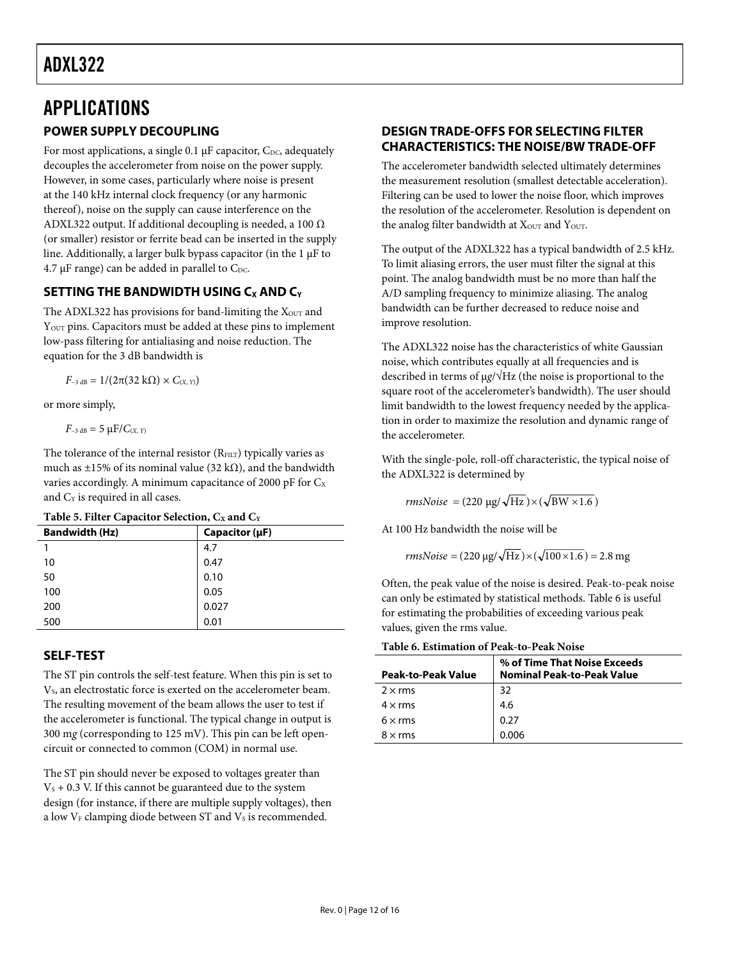## <span id="page-11-0"></span>APPLICATIONS

#### **POWER SUPPLY DECOUPLING**

For most applications, a single 0.1  $\mu$ F capacitor, C<sub>DC</sub>, adequately decouples the accelerometer from noise on the power supply. However, in some cases, particularly where noise is present at the 140 kHz internal clock frequency (or any harmonic thereof), noise on the supply can cause interference on the ADXL322 output. If additional decoupling is needed, a 100  $\Omega$ (or smaller) resistor or ferrite bead can be inserted in the supply line. Additionally, a larger bulk bypass capacitor (in the 1 μF to  $4.7 \mu$ F range) can be added in parallel to C<sub>DC</sub>.

### **SETTING THE BANDWIDTH USING C<sub>X</sub> AND C<sub>Y</sub>**

The ADXL322 has provisions for band-limiting the  $X<sub>OUT</sub>$  and Y<sub>OUT</sub> pins. Capacitors must be added at these pins to implement low-pass filtering for antialiasing and noise reduction. The equation for the 3 dB bandwidth is

*F*<sub>−3 dB</sub> =  $1/(2π(32 kΩ) × C<sub>(X, Y)</sub>)$ 

or more simply,

 $F_{-3 \text{ dB}} = 5 \text{ }\mu\text{F}/C_{(X, Y)}$ 

The tolerance of the internal resistor  $(R<sub>FILT</sub>)$  typically varies as much as ±15% of its nominal value (32 k $\Omega$ ), and the bandwidth varies accordingly. A minimum capacitance of 2000 pF for  $C_x$ and C<sub>Y</sub> is required in all cases.

| Table 5. Filter Capacitor Selection, Cx and C <sub>Y</sub> |  |  |  |  |  |  |
|------------------------------------------------------------|--|--|--|--|--|--|
|------------------------------------------------------------|--|--|--|--|--|--|

| <b>Bandwidth (Hz)</b> | Capacitor $(\mu F)$ |  |  |  |
|-----------------------|---------------------|--|--|--|
|                       | 4.7                 |  |  |  |
| 10                    | 0.47                |  |  |  |
| 50                    | 0.10                |  |  |  |
| 100                   | 0.05                |  |  |  |
| 200                   | 0.027               |  |  |  |
| 500                   | 0.01                |  |  |  |
|                       |                     |  |  |  |

### <span id="page-11-1"></span>**SELF-TEST**

The ST pin controls the self-test feature. When this pin is set to V<sub>s</sub>, an electrostatic force is exerted on the accelerometer beam. The resulting movement of the beam allows the user to test if the accelerometer is functional. The typical change in output is 300 m*g* (corresponding to 125 mV). This pin can be left opencircuit or connected to common (COM) in normal use.

The ST pin should never be exposed to voltages greater than  $V<sub>s</sub> + 0.3$  V. If this cannot be guaranteed due to the system design (for instance, if there are multiple supply voltages), then a low  $V_F$  clamping diode between ST and  $V_S$  is recommended.

#### **DESIGN TRADE-OFFS FOR SELECTING FILTER CHARACTERISTICS: THE NOISE/BW TRADE-OFF**

The accelerometer bandwidth selected ultimately determines the measurement resolution (smallest detectable acceleration). Filtering can be used to lower the noise floor, which improves the resolution of the accelerometer. Resolution is dependent on the analog filter bandwidth at  $X<sub>OUT</sub>$  and  $Y<sub>OUT</sub>$ .

The output of the ADXL322 has a typical bandwidth of 2.5 kHz. To limit aliasing errors, the user must filter the signal at this point. The analog bandwidth must be no more than half the A/D sampling frequency to minimize aliasing. The analog bandwidth can be further decreased to reduce noise and improve resolution.

The ADXL322 noise has the characteristics of white Gaussian noise, which contributes equally at all frequencies and is described in terms of μ*g*/√Hz (the noise is proportional to the square root of the accelerometer's bandwidth). The user should limit bandwidth to the lowest frequency needed by the application in order to maximize the resolution and dynamic range of the accelerometer.

With the single-pole, roll-off characteristic, the typical noise of the ADXL322 is determined by

$$
rmsNoise = (220 \text{ µg}/\sqrt{\text{Hz}}) \times (\sqrt{\text{BW} \times 1.6})
$$

At 100 Hz bandwidth the noise will be

$$
rmsNoise = (220 \text{ µg}/\sqrt{\text{Hz}}) \times (\sqrt{100 \times 1.6}) = 2.8 \text{ mg}
$$

Often, the peak value of the noise is desired. Peak-to-peak noise can only be estimated by statistical methods. [Table 6](#page-11-1) is useful for estimating the probabilities of exceeding various peak values, given the rms value.

#### **Table 6. Estimation of Peak-to-Peak Noise**

| <b>Peak-to-Peak Value</b> | % of Time That Noise Exceeds<br><b>Nominal Peak-to-Peak Value</b> |
|---------------------------|-------------------------------------------------------------------|
| $2 \times$ rms            | 32                                                                |
| $4 \times$ rms            | 4.6                                                               |
| $6 \times rms$            | 0.27                                                              |
| $8 \times$ rms            | 0.006                                                             |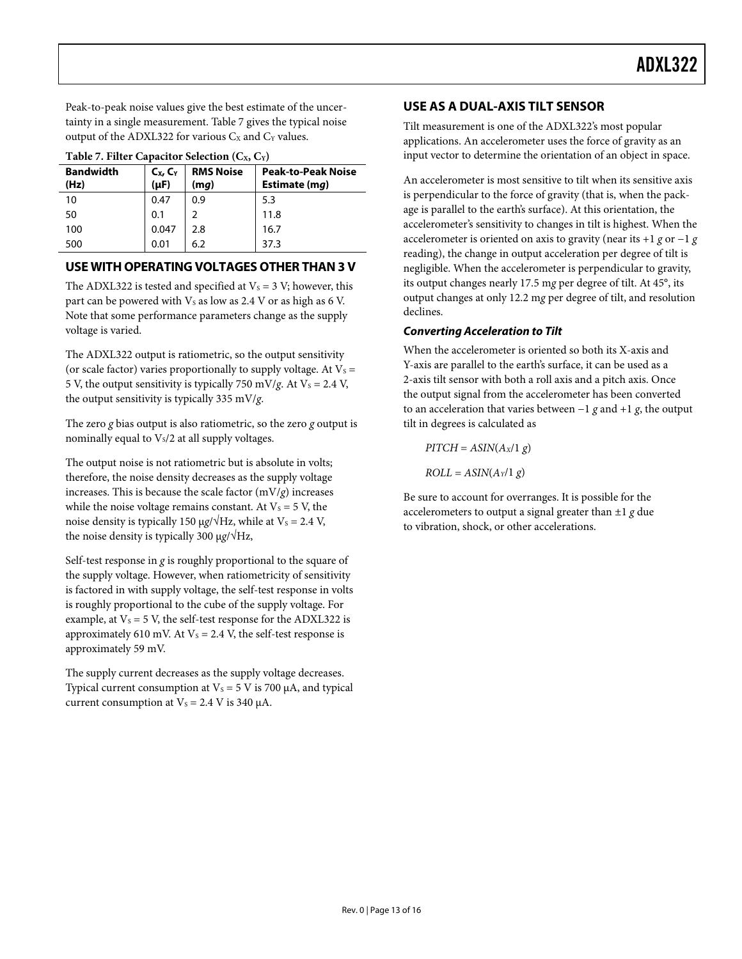<span id="page-12-0"></span>Peak-to-peak noise values give the best estimate of the uncertainty in a single measurement. [Table 7](#page-12-1) gives the typical noise output of the ADXL322 for various  $C_x$  and  $C_y$  values.

<span id="page-12-1"></span>

| Table 7. I file Capacitor Sciection (CA, C1) |                         |                          |                                            |  |  |  |
|----------------------------------------------|-------------------------|--------------------------|--------------------------------------------|--|--|--|
| <b>Bandwidth</b><br>(Hz)                     | $C_X, C_Y$<br>$(\mu F)$ | <b>RMS Noise</b><br>(mq) | <b>Peak-to-Peak Noise</b><br>Estimate (mg) |  |  |  |
| 10                                           | 0.47                    | 0.9                      | 5.3                                        |  |  |  |
| 50                                           | 0.1                     |                          | 11.8                                       |  |  |  |
| 100                                          | 0.047                   | 2.8                      | 16.7                                       |  |  |  |
| 500                                          | 0.01                    | 6.2                      | 37.3                                       |  |  |  |

|  | Table 7. Filter Capacitor Selection $(C_X, C_Y)$ |  |
|--|--------------------------------------------------|--|
|  |                                                  |  |

#### **USE WITH OPERATING VOLTAGES OTHER THAN 3 V**

The ADXL322 is tested and specified at  $V_s = 3 V$ ; however, this part can be powered with  $V_s$  as low as 2.4 V or as high as 6 V. Note that some performance parameters change as the supply voltage is varied.

The ADXL322 output is ratiometric, so the output sensitivity (or scale factor) varies proportionally to supply voltage. At  $V_s =$ 5 V, the output sensitivity is typically 750 mV/*g*. At  $V_s = 2.4$  V, the output sensitivity is typically 335 mV/*g*.

The zero *g* bias output is also ratiometric, so the zero *g* output is nominally equal to  $V_s/2$  at all supply voltages.

The output noise is not ratiometric but is absolute in volts; therefore, the noise density decreases as the supply voltage increases. This is because the scale factor  $(mV/g)$  increases while the noise voltage remains constant. At  $V_s = 5$  V, the noise density is typically 150  $\mu$ *g*/ $\sqrt{Hz}$ , while at V<sub>s</sub> = 2.4 V, the noise density is typically 300 μ*g*/√Hz,

Self-test response in *g* is roughly proportional to the square of the supply voltage. However, when ratiometricity of sensitivity is factored in with supply voltage, the self-test response in volts is roughly proportional to the cube of the supply voltage. For example, at  $V_s = 5$  V, the self-test response for the ADXL322 is approximately 610 mV. At  $V_s = 2.4$  V, the self-test response is approximately 59 mV.

The supply current decreases as the supply voltage decreases. Typical current consumption at  $V_s = 5 V$  is 700  $\mu$ A, and typical current consumption at  $V_s = 2.4$  V is 340  $\mu$ A.

#### **USE AS A DUAL-AXIS TILT SENSOR**

Tilt measurement is one of the ADXL322's most popular applications. An accelerometer uses the force of gravity as an input vector to determine the orientation of an object in space.

An accelerometer is most sensitive to tilt when its sensitive axis is perpendicular to the force of gravity (that is, when the package is parallel to the earth's surface). At this orientation, the accelerometer's sensitivity to changes in tilt is highest. When the accelerometer is oriented on axis to gravity (near its +1 *g* or −1 *g* reading), the change in output acceleration per degree of tilt is negligible. When the accelerometer is perpendicular to gravity, its output changes nearly 17.5 m*g* per degree of tilt. At 45°, its output changes at only 12.2 m*g* per degree of tilt, and resolution declines.

#### **Converting Acceleration to Tilt**

When the accelerometer is oriented so both its X-axis and Y-axis are parallel to the earth's surface, it can be used as a 2-axis tilt sensor with both a roll axis and a pitch axis. Once the output signal from the accelerometer has been converted to an acceleration that varies between −1 *g* and +1 *g*, the output tilt in degrees is calculated as

 $PITCH = ASIN(A_X/1 g)$ 

 $ROLL = ASIN(A_Y/1 g)$ 

Be sure to account for overranges. It is possible for the accelerometers to output a signal greater than ±1 *g* due to vibration, shock, or other accelerations.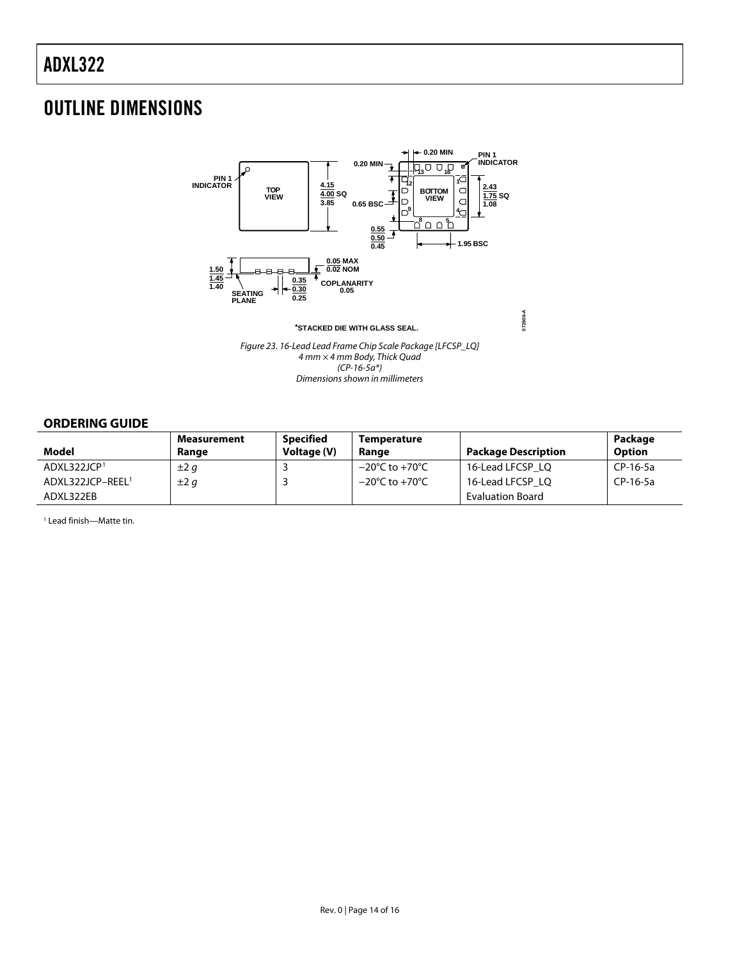### <span id="page-13-0"></span>OUTLINE DIMENSIONS



Figure 23. 16-Lead Lead Frame Chip Scale Package [LFCSP\_LQ] 4 mm × 4 mm Body, Thick Quad  $(CP-16-5a^*)$ Dimensions shown in millimeters

#### **ORDERING GUIDE**

<span id="page-13-1"></span>

| Model                        | Measurement<br>Range | <b>Specified</b><br>Voltage (V) | <b>Temperature</b><br>Range        | <b>Package Description</b> | Package<br><b>Option</b> |
|------------------------------|----------------------|---------------------------------|------------------------------------|----------------------------|--------------------------|
| ADXL322JCP <sup>1</sup>      | $\pm 2g$             |                                 | $-20^{\circ}$ C to $+70^{\circ}$ C | 16-Lead LFCSP LO           | CP-16-5a                 |
| ADXL322JCP-REEL <sup>1</sup> | $\pm 2q$             |                                 | $-20^{\circ}$ C to $+70^{\circ}$ C | 16-Lead LFCSP LO           | CP-16-5a                 |
| ADXL322EB                    |                      |                                 |                                    | <b>Evaluation Board</b>    |                          |

1 Lead finish—Matte tin.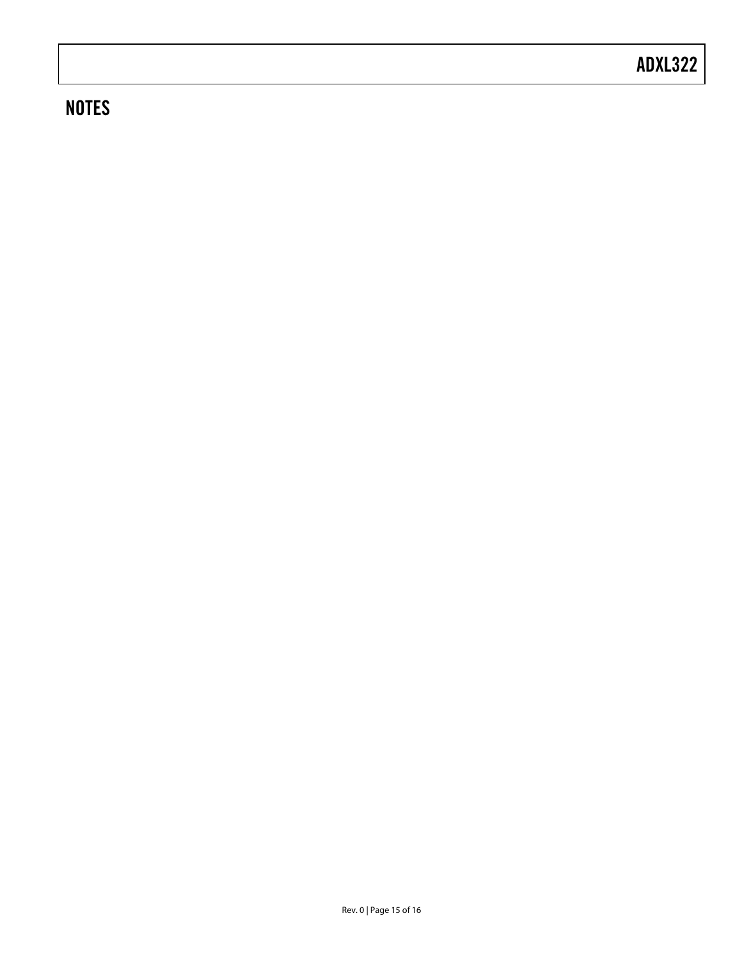### **NOTES**